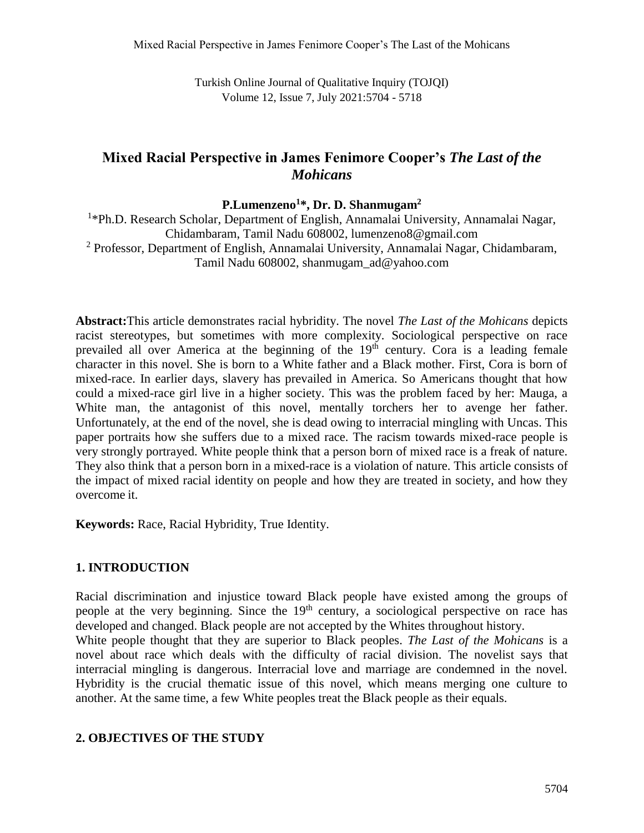Turkish Online Journal of Qualitative Inquiry (TOJQI) Volume 12, Issue 7, July 2021:5704 - 5718

# **Mixed Racial Perspective in James Fenimore Cooper's** *The Last of the Mohicans*

**P.Lumenzeno<sup>1</sup>\*, Dr. D. Shanmugam<sup>2</sup>**

<sup>1</sup>\*Ph.D. Research Scholar, Department of English, Annamalai University, Annamalai Nagar, Chidambaram, Tamil Nadu 608002, lumenzeno8@gmail.com <sup>2</sup> Professor, Department of English, Annamalai University, Annamalai Nagar, Chidambaram, Tamil Nadu 608002, shanmugam\_ad@yahoo.com

**Abstract:**This article demonstrates racial hybridity. The novel *The Last of the Mohicans* depicts racist stereotypes, but sometimes with more complexity. Sociological perspective on race prevailed all over America at the beginning of the  $19<sup>th</sup>$  century. Cora is a leading female character in this novel. She is born to a White father and a Black mother. First, Cora is born of mixed-race. In earlier days, slavery has prevailed in America. So Americans thought that how could a mixed-race girl live in a higher society. This was the problem faced by her: Mauga, a White man, the antagonist of this novel, mentally torchers her to avenge her father. Unfortunately, at the end of the novel, she is dead owing to interracial mingling with Uncas. This paper portraits how she suffers due to a mixed race. The racism towards mixed-race people is very strongly portrayed. White people think that a person born of mixed race is a freak of nature. They also think that a person born in a mixed-race is a violation of nature. This article consists of the impact of mixed racial identity on people and how they are treated in society, and how they overcome it.

**Keywords:** Race, Racial Hybridity, True Identity.

## **1. INTRODUCTION**

Racial discrimination and injustice toward Black people have existed among the groups of people at the very beginning. Since the 19<sup>th</sup> century, a sociological perspective on race has developed and changed. Black people are not accepted by the Whites throughout history.

White people thought that they are superior to Black peoples. *The Last of the Mohicans* is a novel about race which deals with the difficulty of racial division. The novelist says that interracial mingling is dangerous. Interracial love and marriage are condemned in the novel. Hybridity is the crucial thematic issue of this novel, which means merging one culture to another. At the same time, a few White peoples treat the Black people as their equals.

## **2. OBJECTIVES OF THE STUDY**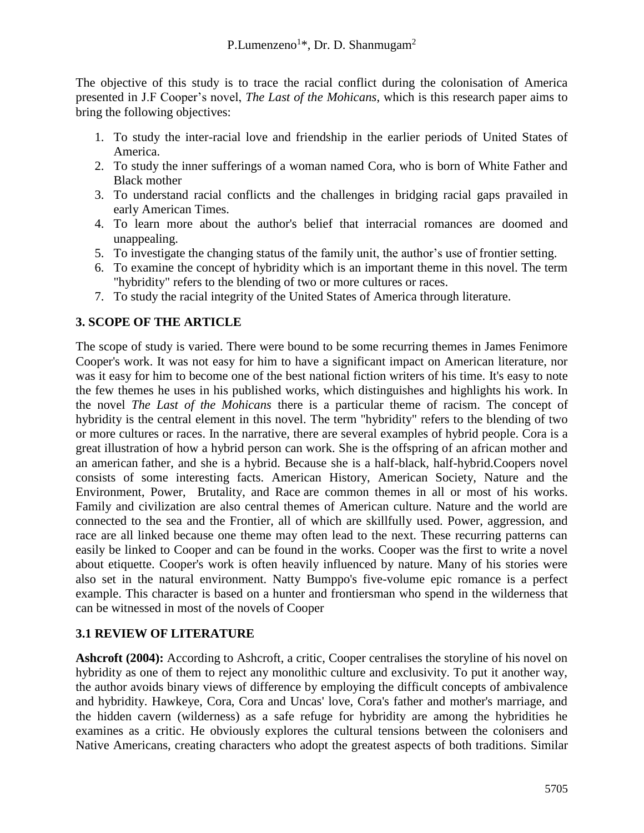The objective of this study is to trace the racial conflict during the colonisation of America presented in J.F Cooper's novel, *The Last of the Mohicans*, which is this research paper aims to bring the following objectives:

- 1. To study the inter-racial love and friendship in the earlier periods of United States of America.
- 2. To study the inner sufferings of a woman named Cora, who is born of White Father and Black mother
- 3. To understand racial conflicts and the challenges in bridging racial gaps pravailed in early American Times.
- 4. To learn more about the author's belief that interracial romances are doomed and unappealing.
- 5. To investigate the changing status of the family unit, the author's use of frontier setting.
- 6. To examine the concept of hybridity which is an important theme in this novel. The term "hybridity" refers to the blending of two or more cultures or races.
- 7. To study the racial integrity of the United States of America through literature.

# **3. SCOPE OF THE ARTICLE**

The scope of study is varied. There were bound to be some recurring themes in James Fenimore Cooper's work. It was not easy for him to have a significant impact on American literature, nor was it easy for him to become one of the best national fiction writers of his time. It's easy to note the few themes he uses in his published works, which distinguishes and highlights his work. In the novel *The Last of the Mohicans* there is a particular theme of racism. The concept of hybridity is the central element in this novel. The term "hybridity" refers to the blending of two or more cultures or races. In the narrative, there are several examples of hybrid people. Cora is a great illustration of how a hybrid person can work. She is the offspring of an african mother and an american father, and she is a hybrid. Because she is a half-black, half-hybrid.Coopers novel consists of some interesting facts. American History, American Society, Nature and the Environment, Power, Brutality, and Race are common themes in all or most of his works. Family and civilization are also central themes of American culture. Nature and the world are connected to the sea and the Frontier, all of which are skillfully used. Power, aggression, and race are all linked because one theme may often lead to the next. These recurring patterns can easily be linked to Cooper and can be found in the works. Cooper was the first to write a novel about etiquette. Cooper's work is often heavily influenced by nature. Many of his stories were also set in the natural environment. Natty Bumppo's five-volume epic romance is a perfect example. This character is based on a hunter and frontiersman who spend in the wilderness that can be witnessed in most of the novels of Cooper

## **3.1 REVIEW OF LITERATURE**

**Ashcroft (2004):** According to Ashcroft, a critic, Cooper centralises the storyline of his novel on hybridity as one of them to reject any monolithic culture and exclusivity. To put it another way, the author avoids binary views of difference by employing the difficult concepts of ambivalence and hybridity. Hawkeye, Cora, Cora and Uncas' love, Cora's father and mother's marriage, and the hidden cavern (wilderness) as a safe refuge for hybridity are among the hybridities he examines as a critic. He obviously explores the cultural tensions between the colonisers and Native Americans, creating characters who adopt the greatest aspects of both traditions. Similar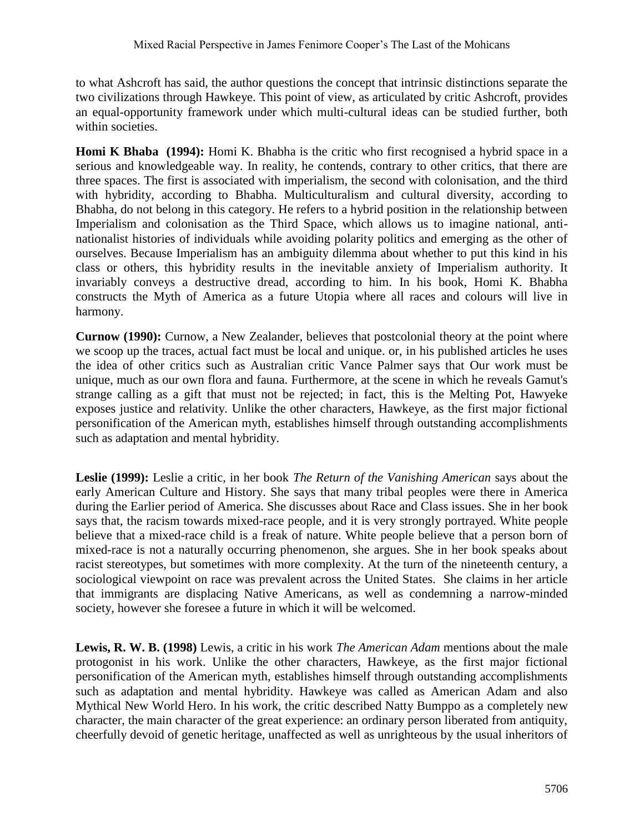to what Ashcroft has said, the author questions the concept that intrinsic distinctions separate the two civilizations through Hawkeye. This point of view, as articulated by critic Ashcroft, provides an equal-opportunity framework under which multi-cultural ideas can be studied further, both within societies.

**Homi K Bhaba** (1994): Homi K. Bhabha is the critic who first recognised a hybrid space in a serious and knowledgeable way. In reality, he contends, contrary to other critics, that there are three spaces. The first is associated with imperialism, the second with colonisation, and the third with hybridity, according to Bhabha. Multiculturalism and cultural diversity, according to Bhabha, do not belong in this category. He refers to a hybrid position in the relationship between Imperialism and colonisation as the Third Space, which allows us to imagine national, antinationalist histories of individuals while avoiding polarity politics and emerging as the other of ourselves. Because Imperialism has an ambiguity dilemma about whether to put this kind in his class or others, this hybridity results in the inevitable anxiety of Imperialism authority. It invariably conveys a destructive dread, according to him. In his book, Homi K. Bhabha constructs the Myth of America as a future Utopia where all races and colours will live in harmony.

**Curnow (1990):** Curnow, a New Zealander, believes that postcolonial theory at the point where we scoop up the traces, actual fact must be local and unique. or, in his published articles he uses the idea of other critics such as Australian critic Vance Palmer says that Our work must be unique, much as our own flora and fauna. Furthermore, at the scene in which he reveals Gamut's strange calling as a gift that must not be rejected; in fact, this is the Melting Pot, Hawyeke exposes justice and relativity. Unlike the other characters, Hawkeye, as the first major fictional personification of the American myth, establishes himself through outstanding accomplishments such as adaptation and mental hybridity.

**Leslie (1999):** Leslie a critic, in her book *The Return of the Vanishing American* says about the early American Culture and History. She says that many tribal peoples were there in America during the Earlier period of America. She discusses about Race and Class issues. She in her book says that, the racism towards mixed-race people, and it is very strongly portrayed. White people believe that a mixed-race child is a freak of nature. White people believe that a person born of mixed-race is not a naturally occurring phenomenon, she argues. She in her book speaks about racist stereotypes, but sometimes with more complexity. At the turn of the nineteenth century, a sociological viewpoint on race was prevalent across the United States. She claims in her article that immigrants are displacing Native Americans, as well as condemning a narrow-minded society, however she foresee a future in which it will be welcomed.

**Lewis, R. W. B. (1998)** Lewis, a critic in his work *The American Adam* mentions about the male protogonist in his work. Unlike the other characters, Hawkeye, as the first major fictional personification of the American myth, establishes himself through outstanding accomplishments such as adaptation and mental hybridity. Hawkeye was called as American Adam and also Mythical New World Hero. In his work, the critic described Natty Bumppo as a completely new character, the main character of the great experience: an ordinary person liberated from antiquity, cheerfully devoid of genetic heritage, unaffected as well as unrighteous by the usual inheritors of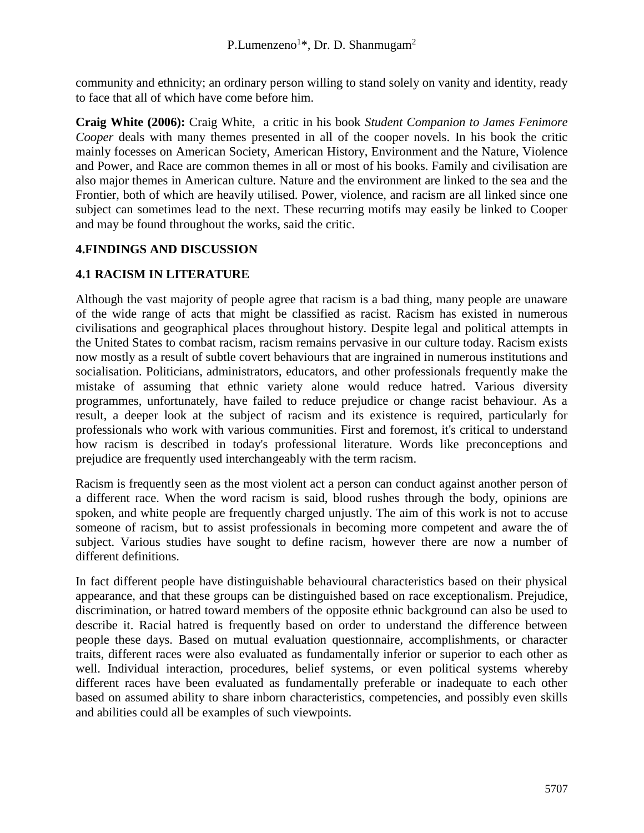community and ethnicity; an ordinary person willing to stand solely on vanity and identity, ready to face that all of which have come before him.

**Craig White (2006):** Craig White, a critic in his book *Student Companion to James Fenimore Cooper* deals with many themes presented in all of the cooper novels. In his book the critic mainly focesses on American Society, American History, Environment and the Nature, Violence and Power, and Race are common themes in all or most of his books. Family and civilisation are also major themes in American culture. Nature and the environment are linked to the sea and the Frontier, both of which are heavily utilised. Power, violence, and racism are all linked since one subject can sometimes lead to the next. These recurring motifs may easily be linked to Cooper and may be found throughout the works, said the critic.

## **4.FINDINGS AND DISCUSSION**

## **4.1 RACISM IN LITERATURE**

Although the vast majority of people agree that racism is a bad thing, many people are unaware of the wide range of acts that might be classified as racist. Racism has existed in numerous civilisations and geographical places throughout history. Despite legal and political attempts in the United States to combat racism, racism remains pervasive in our culture today. Racism exists now mostly as a result of subtle covert behaviours that are ingrained in numerous institutions and socialisation. Politicians, administrators, educators, and other professionals frequently make the mistake of assuming that ethnic variety alone would reduce hatred. Various diversity programmes, unfortunately, have failed to reduce prejudice or change racist behaviour. As a result, a deeper look at the subject of racism and its existence is required, particularly for professionals who work with various communities. First and foremost, it's critical to understand how racism is described in today's professional literature. Words like preconceptions and prejudice are frequently used interchangeably with the term racism.

Racism is frequently seen as the most violent act a person can conduct against another person of a different race. When the word racism is said, blood rushes through the body, opinions are spoken, and white people are frequently charged unjustly. The aim of this work is not to accuse someone of racism, but to assist professionals in becoming more competent and aware the of subject. Various studies have sought to define racism, however there are now a number of different definitions.

In fact different people have distinguishable behavioural characteristics based on their physical appearance, and that these groups can be distinguished based on race exceptionalism. Prejudice, discrimination, or hatred toward members of the opposite ethnic background can also be used to describe it. Racial hatred is frequently based on order to understand the difference between people these days. Based on mutual evaluation questionnaire, accomplishments, or character traits, different races were also evaluated as fundamentally inferior or superior to each other as well. Individual interaction, procedures, belief systems, or even political systems whereby different races have been evaluated as fundamentally preferable or inadequate to each other based on assumed ability to share inborn characteristics, competencies, and possibly even skills and abilities could all be examples of such viewpoints.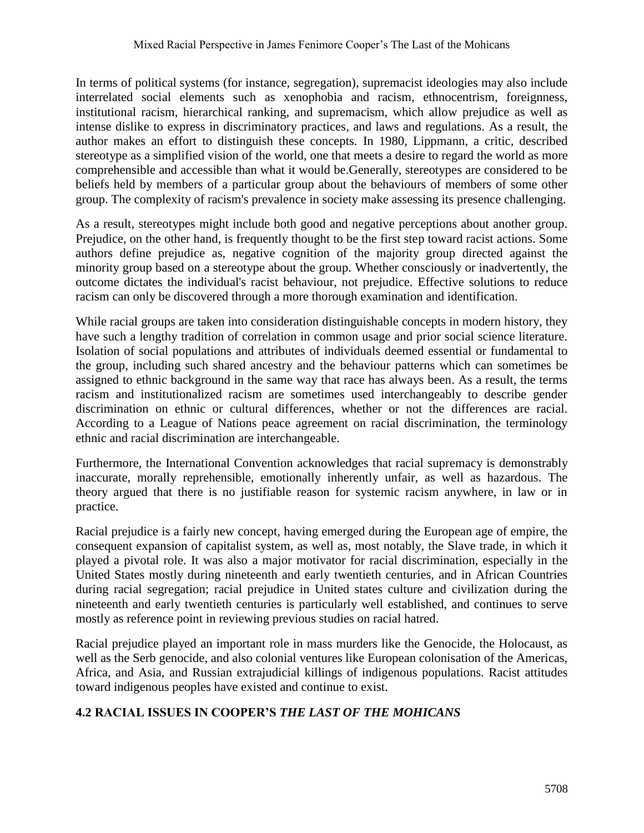In terms of political systems (for instance, segregation), supremacist ideologies may also include interrelated social elements such as xenophobia and racism, ethnocentrism, foreignness, institutional racism, hierarchical ranking, and supremacism, which allow prejudice as well as intense dislike to express in discriminatory practices, and laws and regulations. As a result, the author makes an effort to distinguish these concepts. In 1980, Lippmann, a critic, described stereotype as a simplified vision of the world, one that meets a desire to regard the world as more comprehensible and accessible than what it would be.Generally, stereotypes are considered to be beliefs held by members of a particular group about the behaviours of members of some other group. The complexity of racism's prevalence in society make assessing its presence challenging.

As a result, stereotypes might include both good and negative perceptions about another group. Prejudice, on the other hand, is frequently thought to be the first step toward racist actions. Some authors define prejudice as, negative cognition of the majority group directed against the minority group based on a stereotype about the group. Whether consciously or inadvertently, the outcome dictates the individual's racist behaviour, not prejudice. Effective solutions to reduce racism can only be discovered through a more thorough examination and identification.

While racial groups are taken into consideration distinguishable concepts in modern history, they have such a lengthy tradition of correlation in common usage and prior social science literature. Isolation of social populations and attributes of individuals deemed essential or fundamental to the group, including such shared ancestry and the behaviour patterns which can sometimes be assigned to ethnic background in the same way that race has always been. As a result, the terms racism and institutionalized racism are sometimes used interchangeably to describe gender discrimination on ethnic or cultural differences, whether or not the differences are racial. According to a League of Nations peace agreement on racial discrimination, the terminology ethnic and racial discrimination are interchangeable.

Furthermore, the International Convention acknowledges that racial supremacy is demonstrably inaccurate, morally reprehensible, emotionally inherently unfair, as well as hazardous. The theory argued that there is no justifiable reason for systemic racism anywhere, in law or in practice.

Racial prejudice is a fairly new concept, having emerged during the European age of empire, the consequent expansion of capitalist system, as well as, most notably, the Slave trade, in which it played a pivotal role. It was also a major motivator for racial discrimination, especially in the United States mostly during nineteenth and early twentieth centuries, and in African Countries during racial segregation; racial prejudice in United states culture and civilization during the nineteenth and early twentieth centuries is particularly well established, and continues to serve mostly as reference point in reviewing previous studies on racial hatred.

Racial prejudice played an important role in mass murders like the Genocide, the Holocaust, as well as the Serb genocide, and also colonial ventures like European colonisation of the Americas, Africa, and Asia, and Russian extrajudicial killings of indigenous populations. Racist attitudes toward indigenous peoples have existed and continue to exist.

## **4.2 RACIAL ISSUES IN COOPER'S** *THE LAST OF THE MOHICANS*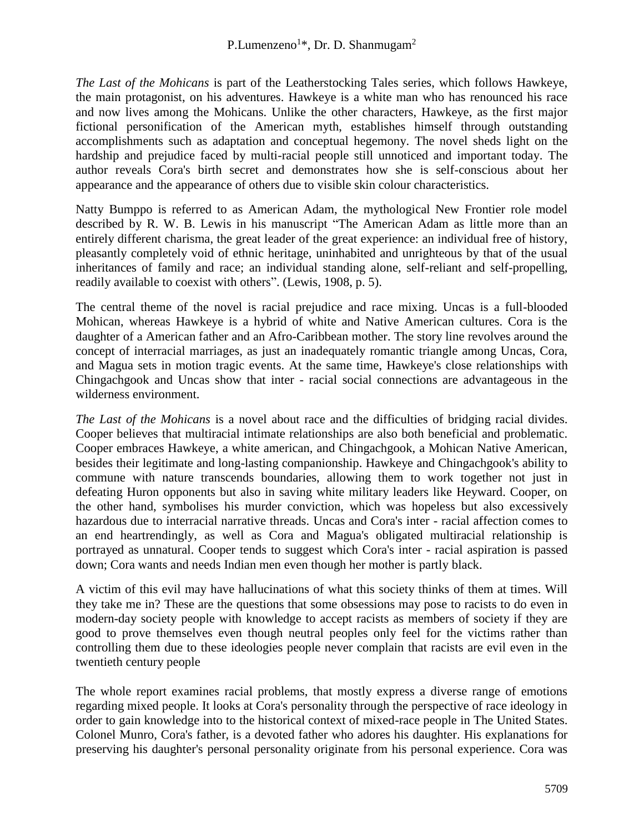*The Last of the Mohicans* is part of the Leatherstocking Tales series, which follows Hawkeye, the main protagonist, on his adventures. Hawkeye is a white man who has renounced his race and now lives among the Mohicans. Unlike the other characters, Hawkeye, as the first major fictional personification of the American myth, establishes himself through outstanding accomplishments such as adaptation and conceptual hegemony. The novel sheds light on the hardship and prejudice faced by multi-racial people still unnoticed and important today. The author reveals Cora's birth secret and demonstrates how she is self-conscious about her appearance and the appearance of others due to visible skin colour characteristics.

Natty Bumppo is referred to as American Adam, the mythological New Frontier role model described by R. W. B. Lewis in his manuscript "The American Adam as little more than an entirely different charisma, the great leader of the great experience: an individual free of history, pleasantly completely void of ethnic heritage, uninhabited and unrighteous by that of the usual inheritances of family and race; an individual standing alone, self-reliant and self-propelling, readily available to coexist with others". (Lewis, 1908, p. 5).

The central theme of the novel is racial prejudice and race mixing. Uncas is a full-blooded Mohican, whereas Hawkeye is a hybrid of white and Native American cultures. Cora is the daughter of a American father and an Afro-Caribbean mother. The story line revolves around the concept of interracial marriages, as just an inadequately romantic triangle among Uncas, Cora, and Magua sets in motion tragic events. At the same time, Hawkeye's close relationships with Chingachgook and Uncas show that inter - racial social connections are advantageous in the wilderness environment.

*The Last of the Mohicans* is a novel about race and the difficulties of bridging racial divides. Cooper believes that multiracial intimate relationships are also both beneficial and problematic. Cooper embraces Hawkeye, a white american, and Chingachgook, a Mohican Native American, besides their legitimate and long-lasting companionship. Hawkeye and Chingachgook's ability to commune with nature transcends boundaries, allowing them to work together not just in defeating Huron opponents but also in saving white military leaders like Heyward. Cooper, on the other hand, symbolises his murder conviction, which was hopeless but also excessively hazardous due to interracial narrative threads. Uncas and Cora's inter - racial affection comes to an end heartrendingly, as well as Cora and Magua's obligated multiracial relationship is portrayed as unnatural. Cooper tends to suggest which Cora's inter - racial aspiration is passed down; Cora wants and needs Indian men even though her mother is partly black.

A victim of this evil may have hallucinations of what this society thinks of them at times. Will they take me in? These are the questions that some obsessions may pose to racists to do even in modern-day society people with knowledge to accept racists as members of society if they are good to prove themselves even though neutral peoples only feel for the victims rather than controlling them due to these ideologies people never complain that racists are evil even in the twentieth century people

The whole report examines racial problems, that mostly express a diverse range of emotions regarding mixed people. It looks at Cora's personality through the perspective of race ideology in order to gain knowledge into to the historical context of mixed-race people in The United States. Colonel Munro, Cora's father, is a devoted father who adores his daughter. His explanations for preserving his daughter's personal personality originate from his personal experience. Cora was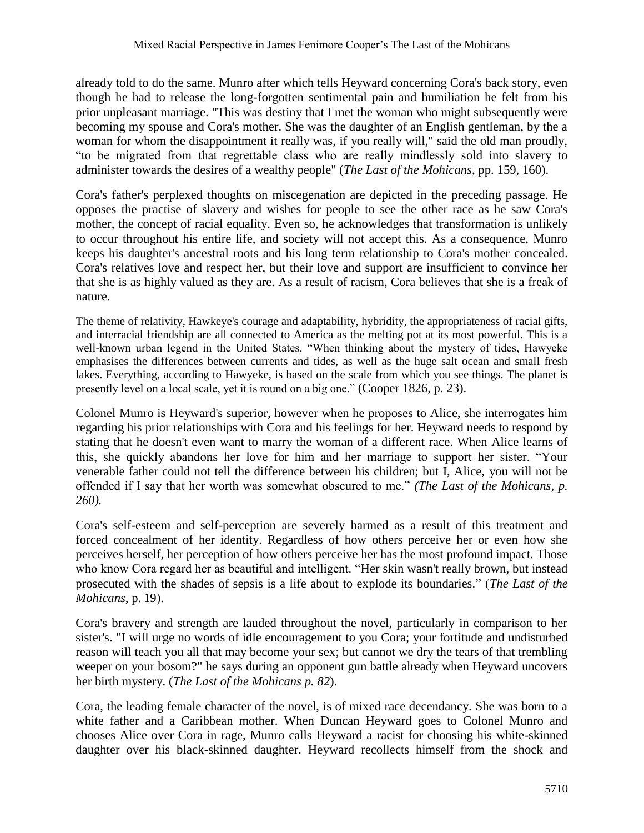already told to do the same. Munro after which tells Heyward concerning Cora's back story, even though he had to release the long-forgotten sentimental pain and humiliation he felt from his prior unpleasant marriage. "This was destiny that I met the woman who might subsequently were becoming my spouse and Cora's mother. She was the daughter of an English gentleman, by the a woman for whom the disappointment it really was, if you really will," said the old man proudly, "to be migrated from that regrettable class who are really mindlessly sold into slavery to administer towards the desires of a wealthy people" (*The Last of the Mohicans*, pp. 159, 160).

Cora's father's perplexed thoughts on miscegenation are depicted in the preceding passage. He opposes the practise of slavery and wishes for people to see the other race as he saw Cora's mother, the concept of racial equality. Even so, he acknowledges that transformation is unlikely to occur throughout his entire life, and society will not accept this. As a consequence, Munro keeps his daughter's ancestral roots and his long term relationship to Cora's mother concealed. Cora's relatives love and respect her, but their love and support are insufficient to convince her that she is as highly valued as they are. As a result of racism, Cora believes that she is a freak of nature.

The theme of relativity, Hawkeye's courage and adaptability, hybridity, the appropriateness of racial gifts, and interracial friendship are all connected to America as the melting pot at its most powerful. This is a well-known urban legend in the United States. "When thinking about the mystery of tides, Hawyeke emphasises the differences between currents and tides, as well as the huge salt ocean and small fresh lakes. Everything, according to Hawyeke, is based on the scale from which you see things. The planet is presently level on a local scale, yet it is round on a big one." (Cooper 1826, p. 23).

Colonel Munro is Heyward's superior, however when he proposes to Alice, she interrogates him regarding his prior relationships with Cora and his feelings for her. Heyward needs to respond by stating that he doesn't even want to marry the woman of a different race. When Alice learns of this, she quickly abandons her love for him and her marriage to support her sister. "Your venerable father could not tell the difference between his children; but I, Alice, you will not be offended if I say that her worth was somewhat obscured to me." *(The Last of the Mohicans, p. 260).*

Cora's self-esteem and self-perception are severely harmed as a result of this treatment and forced concealment of her identity. Regardless of how others perceive her or even how she perceives herself, her perception of how others perceive her has the most profound impact. Those who know Cora regard her as beautiful and intelligent. "Her skin wasn't really brown, but instead prosecuted with the shades of sepsis is a life about to explode its boundaries." (*The Last of the Mohicans*, p. 19).

Cora's bravery and strength are lauded throughout the novel, particularly in comparison to her sister's. "I will urge no words of idle encouragement to you Cora; your fortitude and undisturbed reason will teach you all that may become your sex; but cannot we dry the tears of that trembling weeper on your bosom?" he says during an opponent gun battle already when Heyward uncovers her birth mystery. (*The Last of the Mohicans p. 82*).

Cora, the leading female character of the novel, is of mixed race decendancy. She was born to a white father and a Caribbean mother. When Duncan Heyward goes to Colonel Munro and chooses Alice over Cora in rage, Munro calls Heyward a racist for choosing his white-skinned daughter over his black-skinned daughter. Heyward recollects himself from the shock and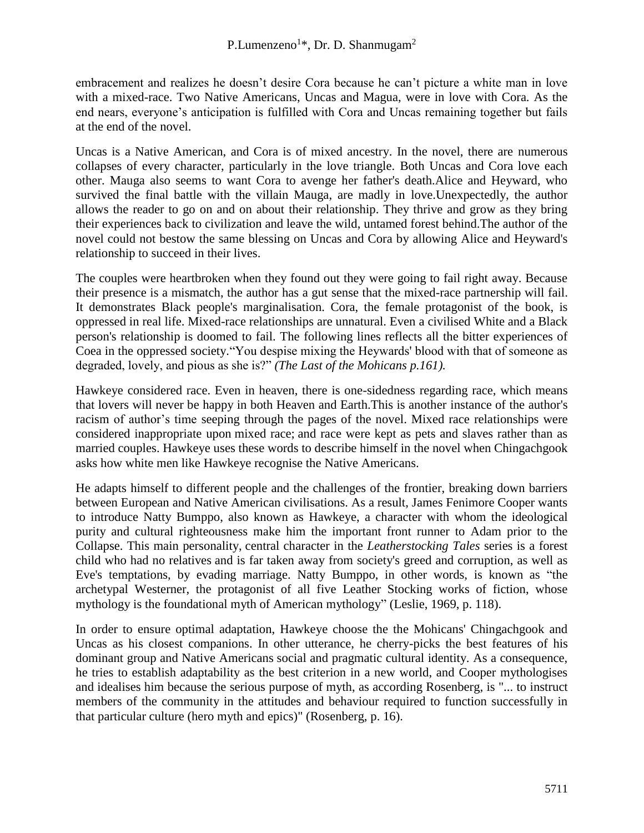embracement and realizes he doesn't desire Cora because he can't picture a white man in love with a mixed-race. Two Native Americans, Uncas and Magua, were in love with Cora. As the end nears, everyone's anticipation is fulfilled with Cora and Uncas remaining together but fails at the end of the novel.

Uncas is a Native American, and Cora is of mixed ancestry. In the novel, there are numerous collapses of every character, particularly in the love triangle. Both Uncas and Cora love each other. Mauga also seems to want Cora to avenge her father's death.Alice and Heyward, who survived the final battle with the villain Mauga, are madly in love.Unexpectedly, the author allows the reader to go on and on about their relationship. They thrive and grow as they bring their experiences back to civilization and leave the wild, untamed forest behind.The author of the novel could not bestow the same blessing on Uncas and Cora by allowing Alice and Heyward's relationship to succeed in their lives.

The couples were heartbroken when they found out they were going to fail right away. Because their presence is a mismatch, the author has a gut sense that the mixed-race partnership will fail. It demonstrates Black people's marginalisation. Cora, the female protagonist of the book, is oppressed in real life. Mixed-race relationships are unnatural. Even a civilised White and a Black person's relationship is doomed to fail. The following lines reflects all the bitter experiences of Coea in the oppressed society."You despise mixing the Heywards' blood with that of someone as degraded, lovely, and pious as she is?" *(The Last of the Mohicans p.161).*

Hawkeye considered race. Even in heaven, there is one-sidedness regarding race, which means that lovers will never be happy in both Heaven and Earth.This is another instance of the author's racism of author's time seeping through the pages of the novel. Mixed race relationships were considered inappropriate upon mixed race; and race were kept as pets and slaves rather than as married couples. Hawkeye uses these words to describe himself in the novel when Chingachgook asks how white men like Hawkeye recognise the Native Americans.

He adapts himself to different people and the challenges of the frontier, breaking down barriers between European and Native American civilisations. As a result, James Fenimore Cooper wants to introduce Natty Bumppo, also known as Hawkeye, a character with whom the ideological purity and cultural righteousness make him the important front runner to Adam prior to the Collapse. This main personality, central character in the *Leatherstocking Tales* series is a forest child who had no relatives and is far taken away from society's greed and corruption, as well as Eve's temptations, by evading marriage. Natty Bumppo, in other words, is known as "the archetypal Westerner, the protagonist of all five Leather Stocking works of fiction, whose mythology is the foundational myth of American mythology" (Leslie, 1969, p. 118).

In order to ensure optimal adaptation, Hawkeye choose the the Mohicans' Chingachgook and Uncas as his closest companions. In other utterance, he cherry-picks the best features of his dominant group and Native Americans social and pragmatic cultural identity. As a consequence, he tries to establish adaptability as the best criterion in a new world, and Cooper mythologises and idealises him because the serious purpose of myth, as according Rosenberg, is "... to instruct members of the community in the attitudes and behaviour required to function successfully in that particular culture (hero myth and epics)" (Rosenberg, p. 16).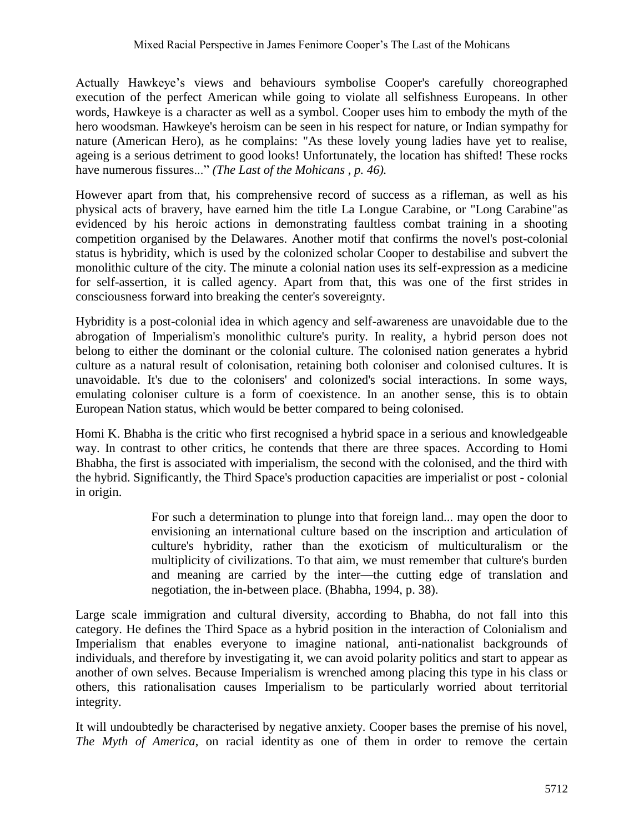Actually Hawkeye's views and behaviours symbolise Cooper's carefully choreographed execution of the perfect American while going to violate all selfishness Europeans. In other words, Hawkeye is a character as well as a symbol. Cooper uses him to embody the myth of the hero woodsman. Hawkeye's heroism can be seen in his respect for nature, or Indian sympathy for nature (American Hero), as he complains: "As these lovely young ladies have yet to realise, ageing is a serious detriment to good looks! Unfortunately, the location has shifted! These rocks have numerous fissures..." *(The Last of the Mohicans , p. 46).*

However apart from that, his comprehensive record of success as a rifleman, as well as his physical acts of bravery, have earned him the title La Longue Carabine, or "Long Carabine"as evidenced by his heroic actions in demonstrating faultless combat training in a shooting competition organised by the Delawares. Another motif that confirms the novel's post-colonial status is hybridity, which is used by the colonized scholar Cooper to destabilise and subvert the monolithic culture of the city. The minute a colonial nation uses its self-expression as a medicine for self-assertion, it is called agency. Apart from that, this was one of the first strides in consciousness forward into breaking the center's sovereignty.

Hybridity is a post-colonial idea in which agency and self-awareness are unavoidable due to the abrogation of Imperialism's monolithic culture's purity. In reality, a hybrid person does not belong to either the dominant or the colonial culture. The colonised nation generates a hybrid culture as a natural result of colonisation, retaining both coloniser and colonised cultures. It is unavoidable. It's due to the colonisers' and colonized's social interactions. In some ways, emulating coloniser culture is a form of coexistence. In an another sense, this is to obtain European Nation status, which would be better compared to being colonised.

Homi K. Bhabha is the critic who first recognised a hybrid space in a serious and knowledgeable way. In contrast to other critics, he contends that there are three spaces. According to Homi Bhabha, the first is associated with imperialism, the second with the colonised, and the third with the hybrid. Significantly, the Third Space's production capacities are imperialist or post - colonial in origin.

> For such a determination to plunge into that foreign land... may open the door to envisioning an international culture based on the inscription and articulation of culture's hybridity, rather than the exoticism of multiculturalism or the multiplicity of civilizations. To that aim, we must remember that culture's burden and meaning are carried by the inter—the cutting edge of translation and negotiation, the in-between place. (Bhabha, 1994, p. 38).

Large scale immigration and cultural diversity, according to Bhabha, do not fall into this category. He defines the Third Space as a hybrid position in the interaction of Colonialism and Imperialism that enables everyone to imagine national, anti-nationalist backgrounds of individuals, and therefore by investigating it, we can avoid polarity politics and start to appear as another of own selves. Because Imperialism is wrenched among placing this type in his class or others, this rationalisation causes Imperialism to be particularly worried about territorial integrity.

It will undoubtedly be characterised by negative anxiety. Cooper bases the premise of his novel, *The Myth of America*, on racial identity as one of them in order to remove the certain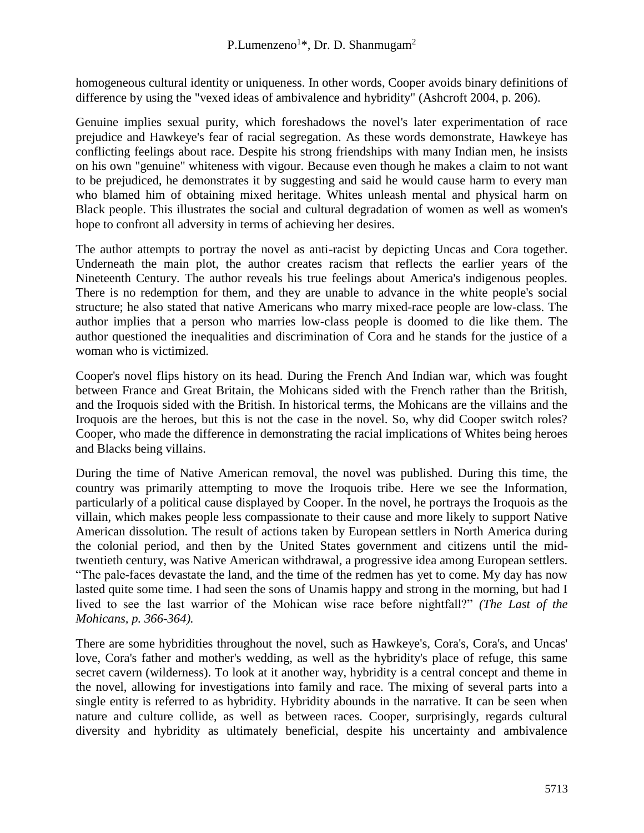homogeneous cultural identity or uniqueness. In other words, Cooper avoids binary definitions of difference by using the "vexed ideas of ambivalence and hybridity" (Ashcroft 2004, p. 206).

Genuine implies sexual purity, which foreshadows the novel's later experimentation of race prejudice and Hawkeye's fear of racial segregation. As these words demonstrate, Hawkeye has conflicting feelings about race. Despite his strong friendships with many Indian men, he insists on his own "genuine" whiteness with vigour. Because even though he makes a claim to not want to be prejudiced, he demonstrates it by suggesting and said he would cause harm to every man who blamed him of obtaining mixed heritage. Whites unleash mental and physical harm on Black people. This illustrates the social and cultural degradation of women as well as women's hope to confront all adversity in terms of achieving her desires.

The author attempts to portray the novel as anti-racist by depicting Uncas and Cora together. Underneath the main plot, the author creates racism that reflects the earlier years of the Nineteenth Century. The author reveals his true feelings about America's indigenous peoples. There is no redemption for them, and they are unable to advance in the white people's social structure; he also stated that native Americans who marry mixed-race people are low-class. The author implies that a person who marries low-class people is doomed to die like them. The author questioned the inequalities and discrimination of Cora and he stands for the justice of a woman who is victimized.

Cooper's novel flips history on its head. During the French And Indian war, which was fought between France and Great Britain, the Mohicans sided with the French rather than the British, and the Iroquois sided with the British. In historical terms, the Mohicans are the villains and the Iroquois are the heroes, but this is not the case in the novel. So, why did Cooper switch roles? Cooper, who made the difference in demonstrating the racial implications of Whites being heroes and Blacks being villains.

During the time of Native American removal, the novel was published. During this time, the country was primarily attempting to move the Iroquois tribe. Here we see the Information, particularly of a political cause displayed by Cooper. In the novel, he portrays the Iroquois as the villain, which makes people less compassionate to their cause and more likely to support Native American dissolution. The result of actions taken by European settlers in North America during the colonial period, and then by the United States government and citizens until the midtwentieth century, was Native American withdrawal, a progressive idea among European settlers. "The pale-faces devastate the land, and the time of the redmen has yet to come. My day has now lasted quite some time. I had seen the sons of Unamis happy and strong in the morning, but had I lived to see the last warrior of the Mohican wise race before nightfall?" *(The Last of the Mohicans, p. 366-364).*

There are some hybridities throughout the novel, such as Hawkeye's, Cora's, Cora's, and Uncas' love, Cora's father and mother's wedding, as well as the hybridity's place of refuge, this same secret cavern (wilderness). To look at it another way, hybridity is a central concept and theme in the novel, allowing for investigations into family and race. The mixing of several parts into a single entity is referred to as hybridity. Hybridity abounds in the narrative. It can be seen when nature and culture collide, as well as between races. Cooper, surprisingly, regards cultural diversity and hybridity as ultimately beneficial, despite his uncertainty and ambivalence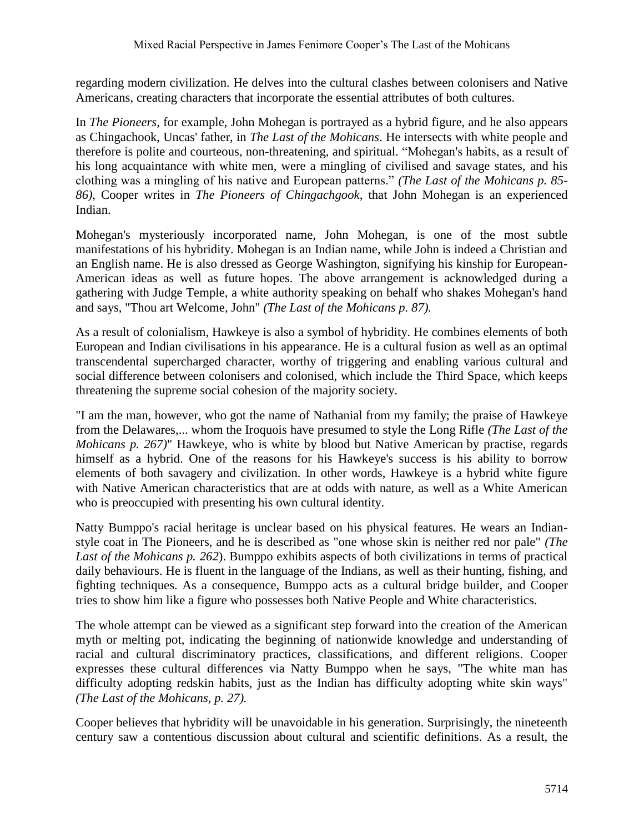regarding modern civilization. He delves into the cultural clashes between colonisers and Native Americans, creating characters that incorporate the essential attributes of both cultures.

In *The Pioneers*, for example, John Mohegan is portrayed as a hybrid figure, and he also appears as Chingachook, Uncas' father, in *The Last of the Mohicans*. He intersects with white people and therefore is polite and courteous, non-threatening, and spiritual. "Mohegan's habits, as a result of his long acquaintance with white men, were a mingling of civilised and savage states, and his clothing was a mingling of his native and European patterns." *(The Last of the Mohicans p. 85- 86),* Cooper writes in *The Pioneers of Chingachgook*, that John Mohegan is an experienced Indian.

Mohegan's mysteriously incorporated name, John Mohegan, is one of the most subtle manifestations of his hybridity. Mohegan is an Indian name, while John is indeed a Christian and an English name. He is also dressed as George Washington, signifying his kinship for European-American ideas as well as future hopes. The above arrangement is acknowledged during a gathering with Judge Temple, a white authority speaking on behalf who shakes Mohegan's hand and says, "Thou art Welcome, John" *(The Last of the Mohicans p. 87).*

As a result of colonialism, Hawkeye is also a symbol of hybridity. He combines elements of both European and Indian civilisations in his appearance. He is a cultural fusion as well as an optimal transcendental supercharged character, worthy of triggering and enabling various cultural and social difference between colonisers and colonised, which include the Third Space, which keeps threatening the supreme social cohesion of the majority society.

"I am the man, however, who got the name of Nathanial from my family; the praise of Hawkeye from the Delawares,... whom the Iroquois have presumed to style the Long Rifle *(The Last of the Mohicans p. 267)*" Hawkeye, who is white by blood but Native American by practise, regards himself as a hybrid. One of the reasons for his Hawkeye's success is his ability to borrow elements of both savagery and civilization. In other words, Hawkeye is a hybrid white figure with Native American characteristics that are at odds with nature, as well as a White American who is preoccupied with presenting his own cultural identity.

Natty Bumppo's racial heritage is unclear based on his physical features. He wears an Indianstyle coat in The Pioneers, and he is described as "one whose skin is neither red nor pale" *(The Last of the Mohicans p. 262*). Bumppo exhibits aspects of both civilizations in terms of practical daily behaviours. He is fluent in the language of the Indians, as well as their hunting, fishing, and fighting techniques. As a consequence, Bumppo acts as a cultural bridge builder, and Cooper tries to show him like a figure who possesses both Native People and White characteristics.

The whole attempt can be viewed as a significant step forward into the creation of the American myth or melting pot, indicating the beginning of nationwide knowledge and understanding of racial and cultural discriminatory practices, classifications, and different religions. Cooper expresses these cultural differences via Natty Bumppo when he says, "The white man has difficulty adopting redskin habits, just as the Indian has difficulty adopting white skin ways" *(The Last of the Mohicans, p. 27).*

Cooper believes that hybridity will be unavoidable in his generation. Surprisingly, the nineteenth century saw a contentious discussion about cultural and scientific definitions. As a result, the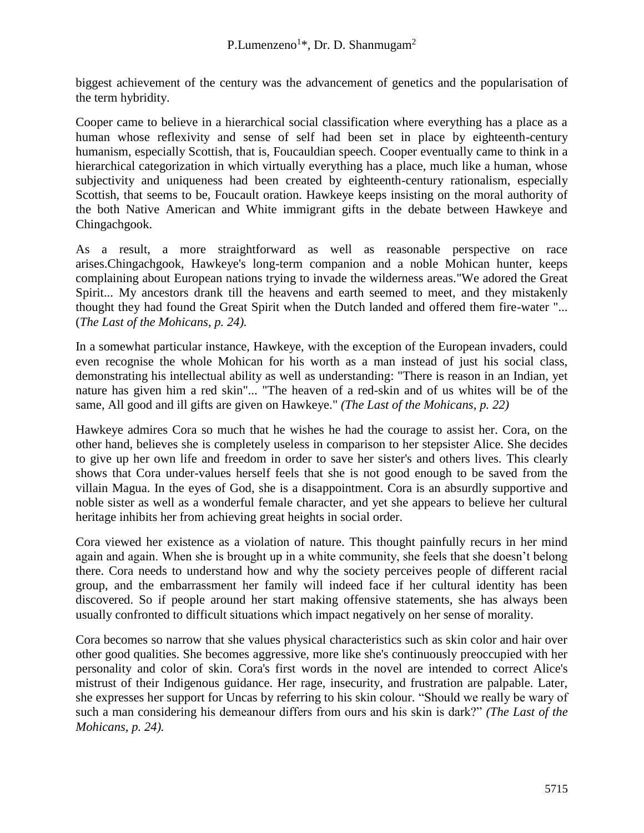biggest achievement of the century was the advancement of genetics and the popularisation of the term hybridity.

Cooper came to believe in a hierarchical social classification where everything has a place as a human whose reflexivity and sense of self had been set in place by eighteenth-century humanism, especially Scottish, that is, Foucauldian speech. Cooper eventually came to think in a hierarchical categorization in which virtually everything has a place, much like a human, whose subjectivity and uniqueness had been created by eighteenth-century rationalism, especially Scottish, that seems to be, Foucault oration. Hawkeye keeps insisting on the moral authority of the both Native American and White immigrant gifts in the debate between Hawkeye and Chingachgook.

As a result, a more straightforward as well as reasonable perspective on race arises.Chingachgook, Hawkeye's long-term companion and a noble Mohican hunter, keeps complaining about European nations trying to invade the wilderness areas."We adored the Great Spirit... My ancestors drank till the heavens and earth seemed to meet, and they mistakenly thought they had found the Great Spirit when the Dutch landed and offered them fire-water "... (*The Last of the Mohicans, p. 24).*

In a somewhat particular instance, Hawkeye, with the exception of the European invaders, could even recognise the whole Mohican for his worth as a man instead of just his social class, demonstrating his intellectual ability as well as understanding: "There is reason in an Indian, yet nature has given him a red skin"... "The heaven of a red-skin and of us whites will be of the same, All good and ill gifts are given on Hawkeye." *(The Last of the Mohicans, p. 22)*

Hawkeye admires Cora so much that he wishes he had the courage to assist her. Cora, on the other hand, believes she is completely useless in comparison to her stepsister Alice. She decides to give up her own life and freedom in order to save her sister's and others lives. This clearly shows that Cora under-values herself feels that she is not good enough to be saved from the villain Magua. In the eyes of God, she is a disappointment. Cora is an absurdly supportive and noble sister as well as a wonderful female character, and yet she appears to believe her cultural heritage inhibits her from achieving great heights in social order.

Cora viewed her existence as a violation of nature. This thought painfully recurs in her mind again and again. When she is brought up in a white community, she feels that she doesn't belong there. Cora needs to understand how and why the society perceives people of different racial group, and the embarrassment her family will indeed face if her cultural identity has been discovered. So if people around her start making offensive statements, she has always been usually confronted to difficult situations which impact negatively on her sense of morality.

Cora becomes so narrow that she values physical characteristics such as skin color and hair over other good qualities. She becomes aggressive, more like she's continuously preoccupied with her personality and color of skin. Cora's first words in the novel are intended to correct Alice's mistrust of their Indigenous guidance. Her rage, insecurity, and frustration are palpable. Later, she expresses her support for Uncas by referring to his skin colour. "Should we really be wary of such a man considering his demeanour differs from ours and his skin is dark?" *(The Last of the Mohicans, p. 24).*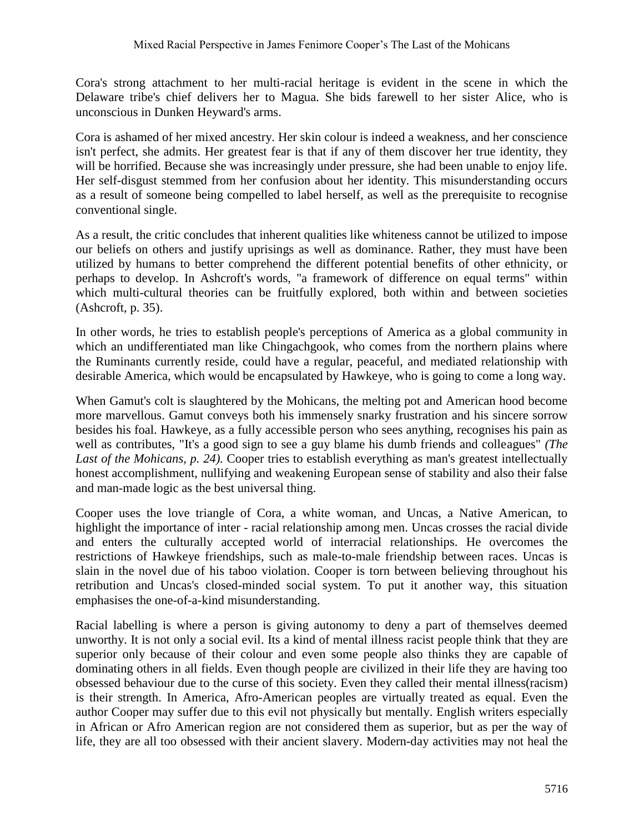Cora's strong attachment to her multi-racial heritage is evident in the scene in which the Delaware tribe's chief delivers her to Magua. She bids farewell to her sister Alice, who is unconscious in Dunken Heyward's arms.

Cora is ashamed of her mixed ancestry. Her skin colour is indeed a weakness, and her conscience isn't perfect, she admits. Her greatest fear is that if any of them discover her true identity, they will be horrified. Because she was increasingly under pressure, she had been unable to enjoy life. Her self-disgust stemmed from her confusion about her identity. This misunderstanding occurs as a result of someone being compelled to label herself, as well as the prerequisite to recognise conventional single.

As a result, the critic concludes that inherent qualities like whiteness cannot be utilized to impose our beliefs on others and justify uprisings as well as dominance. Rather, they must have been utilized by humans to better comprehend the different potential benefits of other ethnicity, or perhaps to develop. In Ashcroft's words, "a framework of difference on equal terms" within which multi-cultural theories can be fruitfully explored, both within and between societies (Ashcroft, p. 35).

In other words, he tries to establish people's perceptions of America as a global community in which an undifferentiated man like Chingachgook, who comes from the northern plains where the Ruminants currently reside, could have a regular, peaceful, and mediated relationship with desirable America, which would be encapsulated by Hawkeye, who is going to come a long way.

When Gamut's colt is slaughtered by the Mohicans, the melting pot and American hood become more marvellous. Gamut conveys both his immensely snarky frustration and his sincere sorrow besides his foal. Hawkeye, as a fully accessible person who sees anything, recognises his pain as well as contributes, "It's a good sign to see a guy blame his dumb friends and colleagues" *(The*  Last of the Mohicans, p. 24). Cooper tries to establish everything as man's greatest intellectually honest accomplishment, nullifying and weakening European sense of stability and also their false and man-made logic as the best universal thing.

Cooper uses the love triangle of Cora, a white woman, and Uncas, a Native American, to highlight the importance of inter - racial relationship among men. Uncas crosses the racial divide and enters the culturally accepted world of interracial relationships. He overcomes the restrictions of Hawkeye friendships, such as male-to-male friendship between races. Uncas is slain in the novel due of his taboo violation. Cooper is torn between believing throughout his retribution and Uncas's closed-minded social system. To put it another way, this situation emphasises the one-of-a-kind misunderstanding.

Racial labelling is where a person is giving autonomy to deny a part of themselves deemed unworthy. It is not only a social evil. Its a kind of mental illness racist people think that they are superior only because of their colour and even some people also thinks they are capable of dominating others in all fields. Even though people are civilized in their life they are having too obsessed behaviour due to the curse of this society. Even they called their mental illness(racism) is their strength. In America, Afro-American peoples are virtually treated as equal. Even the author Cooper may suffer due to this evil not physically but mentally. English writers especially in African or Afro American region are not considered them as superior, but as per the way of life, they are all too obsessed with their ancient slavery. Modern-day activities may not heal the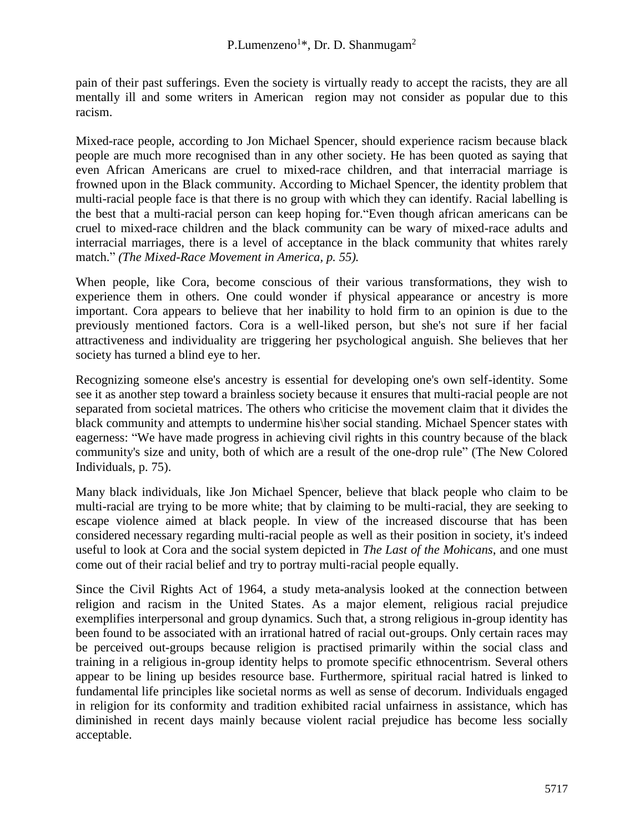pain of their past sufferings. Even the society is virtually ready to accept the racists, they are all mentally ill and some writers in American region may not consider as popular due to this racism.

Mixed-race people, according to Jon Michael Spencer, should experience racism because black people are much more recognised than in any other society. He has been quoted as saying that even African Americans are cruel to mixed-race children, and that interracial marriage is frowned upon in the Black community. According to Michael Spencer, the identity problem that multi-racial people face is that there is no group with which they can identify. Racial labelling is the best that a multi-racial person can keep hoping for."Even though african americans can be cruel to mixed-race children and the black community can be wary of mixed-race adults and interracial marriages, there is a level of acceptance in the black community that whites rarely match." *(The Mixed-Race Movement in America, p. 55).*

When people, like Cora, become conscious of their various transformations, they wish to experience them in others. One could wonder if physical appearance or ancestry is more important. Cora appears to believe that her inability to hold firm to an opinion is due to the previously mentioned factors. Cora is a well-liked person, but she's not sure if her facial attractiveness and individuality are triggering her psychological anguish. She believes that her society has turned a blind eye to her.

Recognizing someone else's ancestry is essential for developing one's own self-identity. Some see it as another step toward a brainless society because it ensures that multi-racial people are not separated from societal matrices. The others who criticise the movement claim that it divides the black community and attempts to undermine his\her social standing. Michael Spencer states with eagerness: "We have made progress in achieving civil rights in this country because of the black community's size and unity, both of which are a result of the one-drop rule" (The New Colored Individuals, p. 75).

Many black individuals, like Jon Michael Spencer, believe that black people who claim to be multi-racial are trying to be more white; that by claiming to be multi-racial, they are seeking to escape violence aimed at black people. In view of the increased discourse that has been considered necessary regarding multi-racial people as well as their position in society, it's indeed useful to look at Cora and the social system depicted in *The Last of the Mohicans*, and one must come out of their racial belief and try to portray multi-racial people equally.

Since the Civil Rights Act of 1964, a study meta-analysis looked at the connection between religion and racism in the United States. As a major element, religious racial prejudice exemplifies interpersonal and group dynamics. Such that, a strong religious in-group identity has been found to be associated with an irrational hatred of racial out-groups. Only certain races may be perceived out-groups because religion is practised primarily within the social class and training in a religious in-group identity helps to promote specific ethnocentrism. Several others appear to be lining up besides resource base. Furthermore, spiritual racial hatred is linked to fundamental life principles like societal norms as well as sense of decorum. Individuals engaged in religion for its conformity and tradition exhibited racial unfairness in assistance, which has diminished in recent days mainly because violent racial prejudice has become less socially acceptable.